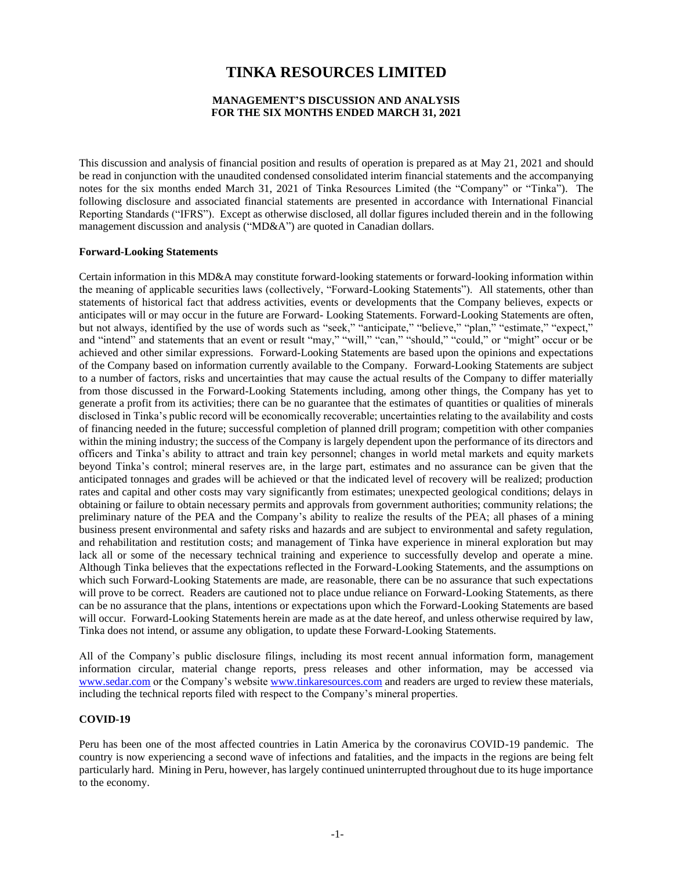# **TINKA RESOURCES LIMITED**

## **MANAGEMENT'S DISCUSSION AND ANALYSIS FOR THE SIX MONTHS ENDED MARCH 31, 2021**

This discussion and analysis of financial position and results of operation is prepared as at May 21, 2021 and should be read in conjunction with the unaudited condensed consolidated interim financial statements and the accompanying notes for the six months ended March 31, 2021 of Tinka Resources Limited (the "Company" or "Tinka"). The following disclosure and associated financial statements are presented in accordance with International Financial Reporting Standards ("IFRS"). Except as otherwise disclosed, all dollar figures included therein and in the following management discussion and analysis ("MD&A") are quoted in Canadian dollars.

#### **Forward-Looking Statements**

Certain information in this MD&A may constitute forward-looking statements or forward-looking information within the meaning of applicable securities laws (collectively, "Forward-Looking Statements"). All statements, other than statements of historical fact that address activities, events or developments that the Company believes, expects or anticipates will or may occur in the future are Forward- Looking Statements. Forward-Looking Statements are often, but not always, identified by the use of words such as "seek," "anticipate," "believe," "plan," "estimate," "expect," and "intend" and statements that an event or result "may," "will," "can," "should," "could," or "might" occur or be achieved and other similar expressions. Forward-Looking Statements are based upon the opinions and expectations of the Company based on information currently available to the Company. Forward-Looking Statements are subject to a number of factors, risks and uncertainties that may cause the actual results of the Company to differ materially from those discussed in the Forward-Looking Statements including, among other things, the Company has yet to generate a profit from its activities; there can be no guarantee that the estimates of quantities or qualities of minerals disclosed in Tinka's public record will be economically recoverable; uncertainties relating to the availability and costs of financing needed in the future; successful completion of planned drill program; competition with other companies within the mining industry; the success of the Company is largely dependent upon the performance of its directors and officers and Tinka's ability to attract and train key personnel; changes in world metal markets and equity markets beyond Tinka's control; mineral reserves are, in the large part, estimates and no assurance can be given that the anticipated tonnages and grades will be achieved or that the indicated level of recovery will be realized; production rates and capital and other costs may vary significantly from estimates; unexpected geological conditions; delays in obtaining or failure to obtain necessary permits and approvals from government authorities; community relations; the preliminary nature of the PEA and the Company's ability to realize the results of the PEA; all phases of a mining business present environmental and safety risks and hazards and are subject to environmental and safety regulation, and rehabilitation and restitution costs; and management of Tinka have experience in mineral exploration but may lack all or some of the necessary technical training and experience to successfully develop and operate a mine. Although Tinka believes that the expectations reflected in the Forward-Looking Statements, and the assumptions on which such Forward-Looking Statements are made, are reasonable, there can be no assurance that such expectations will prove to be correct. Readers are cautioned not to place undue reliance on Forward-Looking Statements, as there can be no assurance that the plans, intentions or expectations upon which the Forward-Looking Statements are based will occur. Forward-Looking Statements herein are made as at the date hereof, and unless otherwise required by law, Tinka does not intend, or assume any obligation, to update these Forward-Looking Statements.

All of the Company's public disclosure filings, including its most recent annual information form, management information circular, material change reports, press releases and other information, may be accessed via [www.sedar.com](http://www.sedar.com/) or the Company's website [www.tinkaresources.com](http://www.tinkaresources.com/) and readers are urged to review these materials, including the technical reports filed with respect to the Company's mineral properties.

#### **COVID-19**

Peru has been one of the most affected countries in Latin America by the coronavirus COVID-19 pandemic. The country is now experiencing a second wave of infections and fatalities, and the impacts in the regions are being felt particularly hard. Mining in Peru, however, has largely continued uninterrupted throughout due to its huge importance to the economy.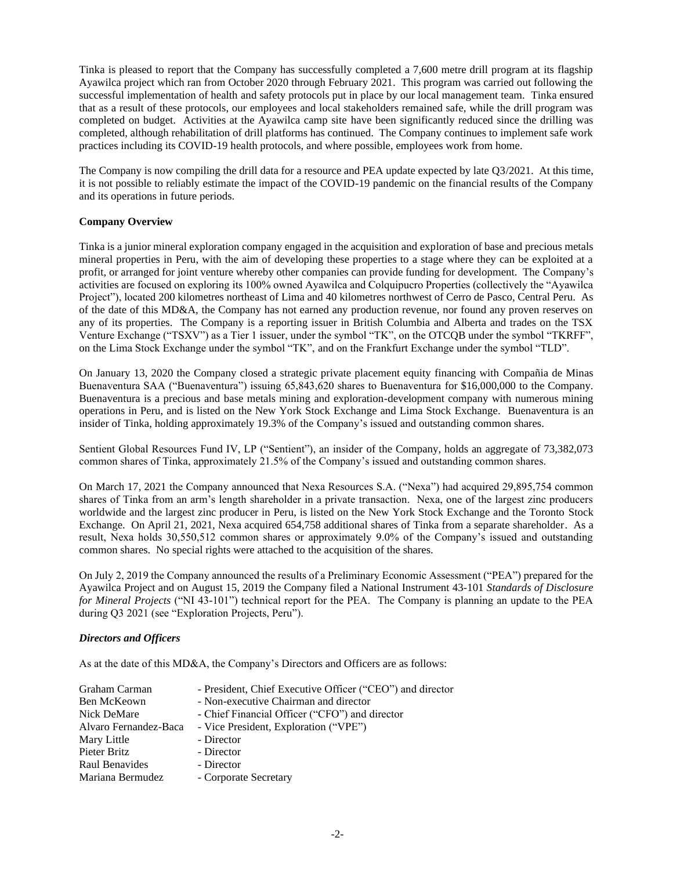Tinka is pleased to report that the Company has successfully completed a 7,600 metre drill program at its flagship Ayawilca project which ran from October 2020 through February 2021. This program was carried out following the successful implementation of health and safety protocols put in place by our local management team. Tinka ensured that as a result of these protocols, our employees and local stakeholders remained safe, while the drill program was completed on budget. Activities at the Ayawilca camp site have been significantly reduced since the drilling was completed, although rehabilitation of drill platforms has continued. The Company continues to implement safe work practices including its COVID-19 health protocols, and where possible, employees work from home.

The Company is now compiling the drill data for a resource and PEA update expected by late O3/2021. At this time, it is not possible to reliably estimate the impact of the COVID-19 pandemic on the financial results of the Company and its operations in future periods.

# **Company Overview**

Tinka is a junior mineral exploration company engaged in the acquisition and exploration of base and precious metals mineral properties in Peru, with the aim of developing these properties to a stage where they can be exploited at a profit, or arranged for joint venture whereby other companies can provide funding for development. The Company's activities are focused on exploring its 100% owned Ayawilca and Colquipucro Properties (collectively the "Ayawilca Project"), located 200 kilometres northeast of Lima and 40 kilometres northwest of Cerro de Pasco, Central Peru. As of the date of this MD&A, the Company has not earned any production revenue, nor found any proven reserves on any of its properties. The Company is a reporting issuer in British Columbia and Alberta and trades on the TSX Venture Exchange ("TSXV") as a Tier 1 issuer, under the symbol "TK", on the OTCQB under the symbol "TKRFF", on the Lima Stock Exchange under the symbol "TK", and on the Frankfurt Exchange under the symbol "TLD".

On January 13, 2020 the Company closed a strategic private placement equity financing with Compañia de Minas Buenaventura SAA ("Buenaventura") issuing 65,843,620 shares to Buenaventura for \$16,000,000 to the Company. Buenaventura is a precious and base metals mining and exploration-development company with numerous mining operations in Peru, and is listed on the New York Stock Exchange and Lima Stock Exchange. Buenaventura is an insider of Tinka, holding approximately 19.3% of the Company's issued and outstanding common shares.

Sentient Global Resources Fund IV, LP ("Sentient"), an insider of the Company, holds an aggregate of 73,382,073 common shares of Tinka, approximately 21.5% of the Company's issued and outstanding common shares.

On March 17, 2021 the Company announced that Nexa Resources S.A. ("Nexa") had acquired 29,895,754 common shares of Tinka from an arm's length shareholder in a private transaction. Nexa, one of the largest zinc producers worldwide and the largest zinc producer in Peru, is listed on the New York Stock Exchange and the Toronto Stock Exchange. On April 21, 2021, Nexa acquired 654,758 additional shares of Tinka from a separate shareholder. As a result, Nexa holds 30,550,512 common shares or approximately 9.0% of the Company's issued and outstanding common shares. No special rights were attached to the acquisition of the shares.

On July 2, 2019 the Company announced the results of a Preliminary Economic Assessment ("PEA") prepared for the Ayawilca Project and on August 15, 2019 the Company filed a National Instrument 43-101 *Standards of Disclosure for Mineral Projects* ("NI 43-101") technical report for the PEA. The Company is planning an update to the PEA during Q3 2021 (see "Exploration Projects, Peru").

#### *Directors and Officers*

As at the date of this MD&A, the Company's Directors and Officers are as follows:

| Graham Carman         | - President, Chief Executive Officer ("CEO") and director |
|-----------------------|-----------------------------------------------------------|
| Ben McKeown           | - Non-executive Chairman and director                     |
| Nick DeMare           | - Chief Financial Officer ("CFO") and director            |
| Alvaro Fernandez-Baca | - Vice President, Exploration ("VPE")                     |
| Mary Little           | - Director                                                |
| Pieter Britz          | - Director                                                |
| Raul Benavides        | - Director                                                |
| Mariana Bermudez      | - Corporate Secretary                                     |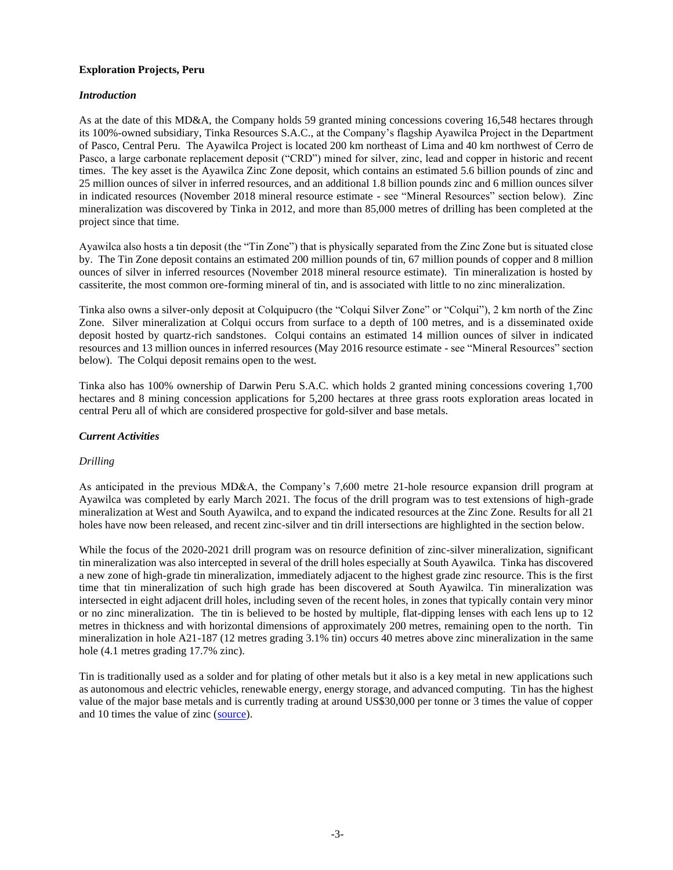# **Exploration Projects, Peru**

# *Introduction*

As at the date of this MD&A, the Company holds 59 granted mining concessions covering 16,548 hectares through its 100%-owned subsidiary, Tinka Resources S.A.C., at the Company's flagship Ayawilca Project in the Department of Pasco, Central Peru. The Ayawilca Project is located 200 km northeast of Lima and 40 km northwest of Cerro de Pasco, a large carbonate replacement deposit ("CRD") mined for silver, zinc, lead and copper in historic and recent times. The key asset is the Ayawilca Zinc Zone deposit, which contains an estimated 5.6 billion pounds of zinc and 25 million ounces of silver in inferred resources, and an additional 1.8 billion pounds zinc and 6 million ounces silver in indicated resources (November 2018 mineral resource estimate - see "Mineral Resources" section below). Zinc mineralization was discovered by Tinka in 2012, and more than 85,000 metres of drilling has been completed at the project since that time.

Ayawilca also hosts a tin deposit (the "Tin Zone") that is physically separated from the Zinc Zone but is situated close by. The Tin Zone deposit contains an estimated 200 million pounds of tin, 67 million pounds of copper and 8 million ounces of silver in inferred resources (November 2018 mineral resource estimate). Tin mineralization is hosted by cassiterite, the most common ore-forming mineral of tin, and is associated with little to no zinc mineralization.

Tinka also owns a silver-only deposit at Colquipucro (the "Colqui Silver Zone" or "Colqui"), 2 km north of the Zinc Zone. Silver mineralization at Colqui occurs from surface to a depth of 100 metres, and is a disseminated oxide deposit hosted by quartz-rich sandstones. Colqui contains an estimated 14 million ounces of silver in indicated resources and 13 million ounces in inferred resources (May 2016 resource estimate - see "Mineral Resources" section below). The Colqui deposit remains open to the west.

Tinka also has 100% ownership of Darwin Peru S.A.C. which holds 2 granted mining concessions covering 1,700 hectares and 8 mining concession applications for 5,200 hectares at three grass roots exploration areas located in central Peru all of which are considered prospective for gold-silver and base metals.

## *Current Activities*

# *Drilling*

As anticipated in the previous MD&A, the Company's 7,600 metre 21-hole resource expansion drill program at Ayawilca was completed by early March 2021. The focus of the drill program was to test extensions of high-grade mineralization at West and South Ayawilca, and to expand the indicated resources at the Zinc Zone. Results for all 21 holes have now been released, and recent zinc-silver and tin drill intersections are highlighted in the section below.

While the focus of the 2020-2021 drill program was on resource definition of zinc-silver mineralization, significant tin mineralization was also intercepted in several of the drill holes especially at South Ayawilca. Tinka has discovered a new zone of high-grade tin mineralization, immediately adjacent to the highest grade zinc resource. This is the first time that tin mineralization of such high grade has been discovered at South Ayawilca. Tin mineralization was intersected in eight adjacent drill holes, including seven of the recent holes, in zones that typically contain very minor or no zinc mineralization. The tin is believed to be hosted by multiple, flat-dipping lenses with each lens up to 12 metres in thickness and with horizontal dimensions of approximately 200 metres, remaining open to the north. Tin mineralization in hole A21-187 (12 metres grading 3.1% tin) occurs 40 metres above zinc mineralization in the same hole (4.1 metres grading 17.7% zinc).

Tin is traditionally used as a solder and for plating of other metals but it also is a key metal in new applications such as autonomous and electric vehicles, renewable energy, energy storage, and advanced computing. Tin has the highest value of the major base metals and is currently trading at around US\$30,000 per tonne or 3 times the value of copper and 10 times the value of zinc [\(source\)](https://www.westmetall.com/en/markdaten.php).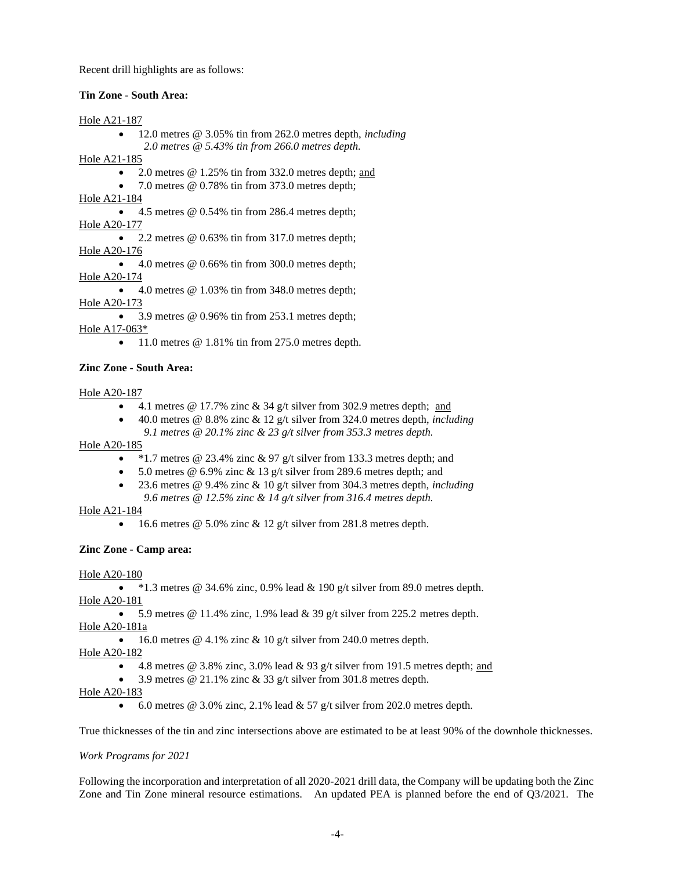Recent drill highlights are as follows:

# **Tin Zone - South Area:**

## Hole A21-187

- 12.0 metres @ 3.05% tin from 262.0 metres depth, *including 2.0 metres @ 5.43% tin from 266.0 metres depth.*
- Hole A21-185
	- 2.0 metres @ 1.25% tin from 332.0 metres depth; and
	- 7.0 metres @ 0.78% tin from 373.0 metres depth;

# Hole A21-184

• 4.5 metres @ 0.54% tin from 286.4 metres depth; Hole A20-177

• 2.2 metres  $\omega$  0.63% tin from 317.0 metres depth; Hole A20-176

• 4.0 metres @ 0.66% tin from 300.0 metres depth; Hole A20-174

• 4.0 metres @ 1.03% tin from 348.0 metres depth; Hole A20-173

• 3.9 metres  $\omega$  0.96% tin from 253.1 metres depth; Hole A17-063\*

• 11.0 metres @ 1.81% tin from 275.0 metres depth.

# **Zinc Zone - South Area:**

## Hole A20-187

- 4.1 metres  $@ 17.7\%$  zinc  $\&$  34 g/t silver from 302.9 metres depth; and
- 40.0 metres @ 8.8% zinc & 12 g/t silver from 324.0 metres depth, *including 9.1 metres @ 20.1% zinc & 23 g/t silver from 353.3 metres depth.*

#### Hole A20-185

- \*1.7 metres  $@$  23.4% zinc  $&$  97 g/t silver from 133.3 metres depth; and
- 5.0 metres  $\omega$  6.9% zinc  $\&$  13 g/t silver from 289.6 metres depth; and
- 23.6 metres @ 9.4% zinc & 10 g/t silver from 304.3 metres depth, *including*
- *9.6 metres @ 12.5% zinc & 14 g/t silver from 316.4 metres depth.*

# Hole A21-184

• 16.6 metres  $\omega$  5.0% zinc  $\&$  12 g/t silver from 281.8 metres depth.

# **Zinc Zone - Camp area:**

# Hole A20-180

• \*1.3 metres  $\omega$  34.6% zinc, 0.9% lead  $\&$  190 g/t silver from 89.0 metres depth. Hole A20-181

• 5.9 metres  $@$  11.4% zinc, 1.9% lead  $&$  39 g/t silver from 225.2 metres depth.

# Hole A20-181a

• 16.0 metres  $@$  4.1% zinc  $&$  10 g/t silver from 240.0 metres depth.

# Hole A20-182

- 4.8 metres  $\omega$  3.8% zinc, 3.0% lead  $\&$  93 g/t silver from 191.5 metres depth; and
- 3.9 metres  $\omega$  21.1% zinc  $\&$  33 g/t silver from 301.8 metres depth.

# Hole A20-183

• 6.0 metres @ 3.0% zinc, 2.1% lead & 57 g/t silver from 202.0 metres depth.

True thicknesses of the tin and zinc intersections above are estimated to be at least 90% of the downhole thicknesses.

# *Work Programs for 2021*

Following the incorporation and interpretation of all 2020-2021 drill data, the Company will be updating both the Zinc Zone and Tin Zone mineral resource estimations. An updated PEA is planned before the end of Q3/2021. The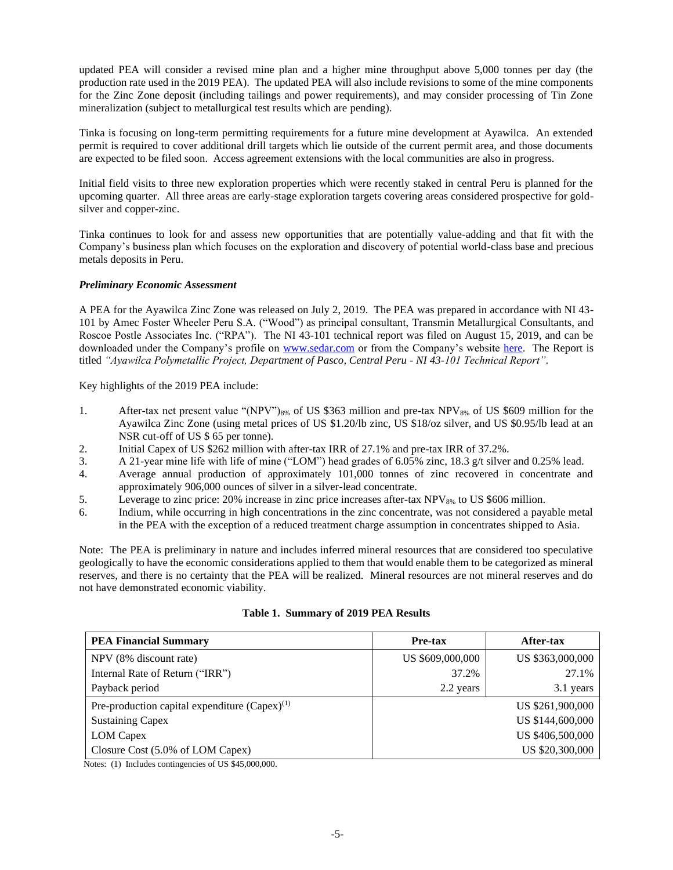updated PEA will consider a revised mine plan and a higher mine throughput above 5,000 tonnes per day (the production rate used in the 2019 PEA). The updated PEA will also include revisions to some of the mine components for the Zinc Zone deposit (including tailings and power requirements), and may consider processing of Tin Zone mineralization (subject to metallurgical test results which are pending).

Tinka is focusing on long-term permitting requirements for a future mine development at Ayawilca. An extended permit is required to cover additional drill targets which lie outside of the current permit area, and those documents are expected to be filed soon. Access agreement extensions with the local communities are also in progress.

Initial field visits to three new exploration properties which were recently staked in central Peru is planned for the upcoming quarter. All three areas are early-stage exploration targets covering areas considered prospective for goldsilver and copper-zinc.

Tinka continues to look for and assess new opportunities that are potentially value-adding and that fit with the Company's business plan which focuses on the exploration and discovery of potential world-class base and precious metals deposits in Peru.

# *Preliminary Economic Assessment*

A PEA for the Ayawilca Zinc Zone was released on July 2, 2019. The PEA was prepared in accordance with NI 43- 101 by Amec Foster Wheeler Peru S.A. ("Wood") as principal consultant, Transmin Metallurgical Consultants, and Roscoe Postle Associates Inc. ("RPA"). The NI 43-101 technical report was filed on August 15, 2019, and can be downloaded under the Company's profile on [www.sedar.com](http://www.sedar.com/) or from the Company's website [here.](https://www.tinkaresources.com/assets/docs/reports/Tinka%20Ayawilca%20TR%20Final.pdf) The Report is titled *"Ayawilca Polymetallic Project, Department of Pasco, Central Peru - NI 43-101 Technical Report"*.

Key highlights of the 2019 PEA include:

- 1. After-tax net present value "(NPV")<sub>8%</sub> of US \$363 million and pre-tax NPV<sub>8%</sub> of US \$609 million for the Ayawilca Zinc Zone (using metal prices of US \$1.20/lb zinc, US \$18/oz silver, and US \$0.95/lb lead at an NSR cut-off of US \$ 65 per tonne).
- 2. Initial Capex of US \$262 million with after-tax IRR of 27.1% and pre-tax IRR of 37.2%.
- 3. A 21-year mine life with life of mine ("LOM") head grades of 6.05% zinc, 18.3 g/t silver and 0.25% lead.
- 4. Average annual production of approximately 101,000 tonnes of zinc recovered in concentrate and approximately 906,000 ounces of silver in a silver-lead concentrate.
- 5. Leverage to zinc price: 20% increase in zinc price increases after-tax NPV<sub>8%</sub> to US \$606 million.
- 6. Indium, while occurring in high concentrations in the zinc concentrate, was not considered a payable metal in the PEA with the exception of a reduced treatment charge assumption in concentrates shipped to Asia.

Note: The PEA is preliminary in nature and includes inferred mineral resources that are considered too speculative geologically to have the economic considerations applied to them that would enable them to be categorized as mineral reserves, and there is no certainty that the PEA will be realized. Mineral resources are not mineral reserves and do not have demonstrated economic viability.

| <b>PEA Financial Summary</b>                       | <b>Pre-tax</b>   | After-tax        |
|----------------------------------------------------|------------------|------------------|
| NPV (8% discount rate)                             | US \$609,000,000 | US \$363,000,000 |
| Internal Rate of Return ("IRR")                    | 37.2%            | 27.1%            |
| Payback period                                     | 2.2 years        | 3.1 years        |
| Pre-production capital expenditure $(Capex)^{(1)}$ |                  | US \$261,900,000 |
| <b>Sustaining Capex</b>                            |                  | US \$144,600,000 |
| <b>LOM</b> Capex                                   |                  | US \$406,500,000 |
| Closure Cost (5.0% of LOM Capex)                   |                  | US \$20,300,000  |

# **Table 1. Summary of 2019 PEA Results**

Notes: (1) Includes contingencies of US \$45,000,000.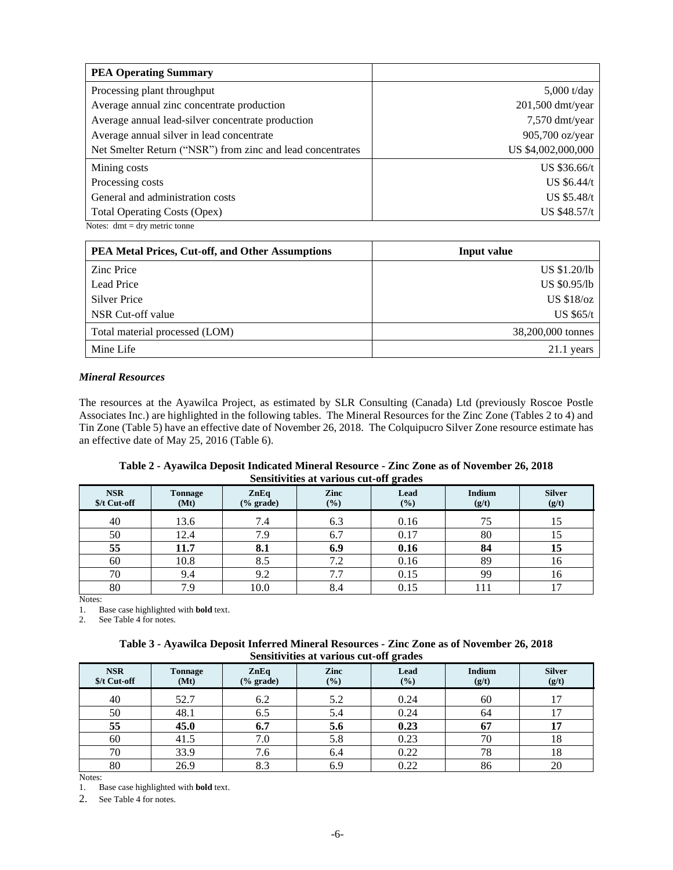| <b>PEA Operating Summary</b>                               |                    |
|------------------------------------------------------------|--------------------|
| Processing plant throughput                                | $5,000$ t/day      |
| Average annual zinc concentrate production                 | 201,500 dmt/year   |
| Average annual lead-silver concentrate production          | 7,570 dmt/year     |
| Average annual silver in lead concentrate                  | 905,700 oz/year    |
| Net Smelter Return ("NSR") from zinc and lead concentrates | US \$4,002,000,000 |
| Mining costs                                               | US \$36.66/t       |
| Processing costs                                           | US $$6.44/t$       |
| General and administration costs                           | US \$5.48/t        |
| <b>Total Operating Costs (Opex)</b>                        | US \$48.57/t       |
| Notes: $dmt = dry$ metric tonne                            |                    |

| <b>PEA Metal Prices, Cut-off, and Other Assumptions</b> | Input value       |
|---------------------------------------------------------|-------------------|
| Zinc Price                                              | US \$1.20/lb      |
| Lead Price                                              | US \$0.95/lb      |
| <b>Silver Price</b>                                     | US $$18$ /oz      |
| NSR Cut-off value                                       | US $$65/t$        |
| Total material processed (LOM)                          | 38,200,000 tonnes |
| Mine Life                                               | 21.1 years        |

## *Mineral Resources*

The resources at the Ayawilca Project, as estimated by SLR Consulting (Canada) Ltd (previously Roscoe Postle Associates Inc.) are highlighted in the following tables. The Mineral Resources for the Zinc Zone (Tables 2 to 4) and Tin Zone (Table 5) have an effective date of November 26, 2018. The Colquipucro Silver Zone resource estimate has an effective date of May 25, 2016 (Table 6).

# **Table 2 - Ayawilca Deposit Indicated Mineral Resource - Zinc Zone as of November 26, 2018 Sensitivities at various cut-off grades**

|                            |                        |                      | $\cdots$ . $\cdots$ . $\cdots$ . $\cdots$ . $\cdots$ . $\cdots$ |                |                 |                        |
|----------------------------|------------------------|----------------------|-----------------------------------------------------------------|----------------|-----------------|------------------------|
| <b>NSR</b><br>\$/t Cut-off | <b>Tonnage</b><br>(Mt) | ZnEq<br>$(\%$ grade) | Zinc<br>$(\%)$                                                  | Lead<br>$(\%)$ | Indium<br>(g/t) | <b>Silver</b><br>(g/t) |
| 40                         | 13.6                   | 7.4                  | 6.3                                                             | 0.16           | 75              | 15                     |
| 50                         | 12.4                   | 7.9                  | 6.7                                                             | 0.17           | 80              | 15                     |
| 55                         | 11.7                   | 8.1                  | 6.9                                                             | 0.16           | 84              | 15                     |
| 60                         | 10.8                   | 8.5                  | 7.2                                                             | 0.16           | 89              | 16                     |
| 70                         | 9.4                    | 9.2                  | 77                                                              | 0.15           | 99              | 16                     |
| 80                         | '.9                    | 10.0                 | 8.4                                                             | 0.15           |                 |                        |

Notes:

1. Base case highlighted with **bold** text.

2. See Table 4 for notes.

# **Table 3 - Ayawilca Deposit Inferred Mineral Resources - Zinc Zone as of November 26, 2018 Sensitivities at various cut-off grades**

| <b>NSR</b><br>\$/t Cut-off | <b>Tonnage</b><br>(Mt) | ZnEq<br>$(\%$ grade) | 500<br>Zinc<br>$(\%)$ | Lead<br>$(\%)$ | Indium | <b>Silver</b> |
|----------------------------|------------------------|----------------------|-----------------------|----------------|--------|---------------|
|                            |                        |                      |                       |                | (g/t)  | (g/t)         |
| 40                         | 52.7                   | 6.2                  | 5.2                   | 0.24           | 60     | 17            |
| 50                         | 48.1                   | 6.5                  | 5.4                   | 0.24           | 64     | 7             |
| 55                         | 45.0                   | 6.7                  | 5.6                   | 0.23           | 67     | 17            |
| 60                         | 41.5                   | 7.0                  | 5.8                   | 0.23           | 70     | 18            |
| 70                         | 33.9                   | 7.6                  | 6.4                   | 0.22           | 78     | 18            |
| 80                         | 26.9                   | 8.3                  | 6.9                   | 0.22           | 86     | 20            |

Notes:

1. Base case highlighted with **bold** text.

2. See Table 4 for notes.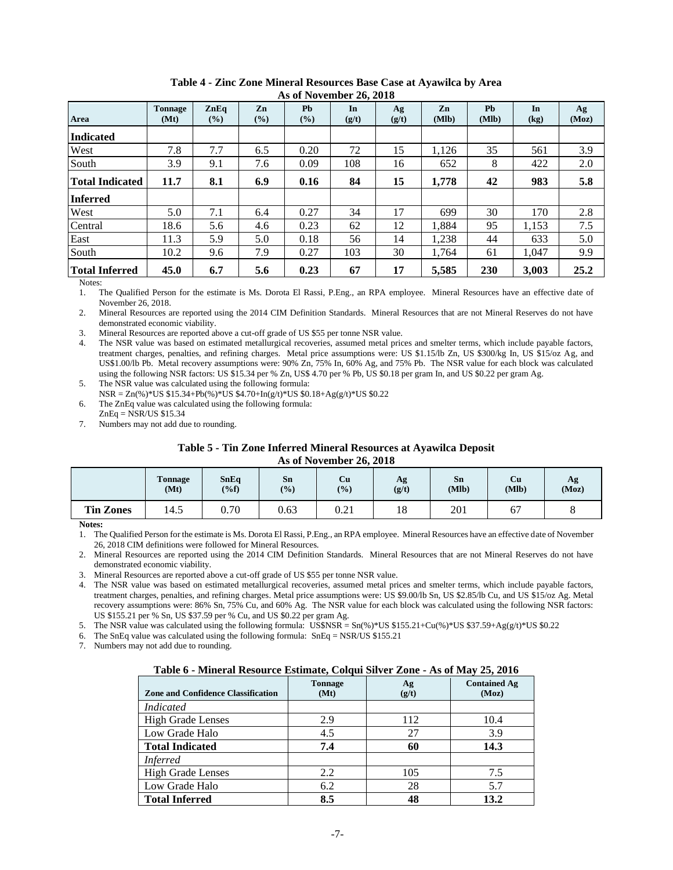|                        | <b>Tonnage</b> | ZnEq   | Zn  | 11000110001001700<br><b>Ph</b> | In    | Ag    | Zn    | <b>Ph</b> | In    | Ag    |
|------------------------|----------------|--------|-----|--------------------------------|-------|-------|-------|-----------|-------|-------|
| Area                   | (Mt)           | $(\%)$ | (%) | (%)                            | (g/t) | (g/t) | (Mlb) | (Mlb)     | (kg)  | (Moz) |
| <b>Indicated</b>       |                |        |     |                                |       |       |       |           |       |       |
| West                   | 7.8            | 7.7    | 6.5 | 0.20                           | 72    | 15    | 1.126 | 35        | 561   | 3.9   |
| South                  | 3.9            | 9.1    | 7.6 | 0.09                           | 108   | 16    | 652   | 8         | 422   | 2.0   |
| <b>Total Indicated</b> | 11.7           | 8.1    | 6.9 | 0.16                           | 84    | 15    | 1.778 | 42        | 983   | 5.8   |
| <b>Inferred</b>        |                |        |     |                                |       |       |       |           |       |       |
| West                   | 5.0            | 7.1    | 6.4 | 0.27                           | 34    | 17    | 699   | 30        | 170   | 2.8   |
| Central                | 18.6           | 5.6    | 4.6 | 0.23                           | 62    | 12    | 1.884 | 95        | 1,153 | 7.5   |
| East                   | 11.3           | 5.9    | 5.0 | 0.18                           | 56    | 14    | 1,238 | 44        | 633   | 5.0   |
| South                  | 10.2           | 9.6    | 7.9 | 0.27                           | 103   | 30    | 1.764 | 61        | 1.047 | 9.9   |
| <b>Total Inferred</b>  | 45.0           | 6.7    | 5.6 | 0.23                           | 67    | 17    | 5,585 | 230       | 3,003 | 25.2  |

**Table 4 - Zinc Zone Mineral Resources Base Case at Ayawilca by Area As of November 26, 2018**

Notes:

1. The Qualified Person for the estimate is Ms. Dorota El Rassi, P.Eng., an RPA employee. Mineral Resources have an effective date of November 26, 2018.

2. Mineral Resources are reported using the 2014 CIM Definition Standards. Mineral Resources that are not Mineral Reserves do not have demonstrated economic viability.

3. Mineral Resources are reported above a cut-off grade of US \$55 per tonne NSR value.

4. The NSR value was based on estimated metallurgical recoveries, assumed metal prices and smelter terms, which include payable factors, treatment charges, penalties, and refining charges. Metal price assumptions were: US \$1.15/lb Zn, US \$300/kg In, US \$15/oz Ag, and US\$1.00/lb Pb. Metal recovery assumptions were: 90% Zn, 75% In, 60% Ag, and 75% Pb. The NSR value for each block was calculated using the following NSR factors: US \$15.34 per % Zn, US\$ 4.70 per % Pb, US \$0.18 per gram In, and US \$0.22 per gram Ag.

5. The NSR value was calculated using the following formula:  $NSR = Zn(\%)^*US$  \$15.34+Pb(%)\*US \$4.70+In(g/t)\*US \$0.18+Ag(g/t)\*US \$0.22

6. The ZnEq value was calculated using the following formula:

ZnEq = NSR/US \$15.34

7. Numbers may not add due to rounding.

# **Table 5 - Tin Zone Inferred Mineral Resources at Ayawilca Deposit**

**As of November 26, 2018**

|                  | <b>Tonnage</b> | <b>SnEq</b> | Sn              | Cu     | Ag    | <b>Sn</b> | Cu    | Ag    |
|------------------|----------------|-------------|-----------------|--------|-------|-----------|-------|-------|
|                  | (Mt)           | $(\%f)$     | $(\frac{6}{6})$ | $(\%)$ | (g/t) | (Mlb)     | (Mlb) | (Moz) |
| <b>Tin Zones</b> | 14.5           | 0.70        | 0.63            | 0.21   | 18    | 201       | 67    |       |

**Notes:**

1. The Qualified Person for the estimate is Ms. Dorota El Rassi, P.Eng., an RPA employee. Mineral Resources have an effective date of November 26, 2018 CIM definitions were followed for Mineral Resources.

2. Mineral Resources are reported using the 2014 CIM Definition Standards. Mineral Resources that are not Mineral Reserves do not have demonstrated economic viability.

3. Mineral Resources are reported above a cut-off grade of US \$55 per tonne NSR value.

4. The NSR value was based on estimated metallurgical recoveries, assumed metal prices and smelter terms, which include payable factors, treatment charges, penalties, and refining charges. Metal price assumptions were: US \$9.00/lb Sn, US \$2.85/lb Cu, and US \$15/oz Ag. Metal recovery assumptions were: 86% Sn, 75% Cu, and 60% Ag. The NSR value for each block was calculated using the following NSR factors: US \$155.21 per % Sn, US \$37.59 per % Cu, and US \$0.22 per gram Ag.

5. The NSR value was calculated using the following formula:  $US$NSR = Sn(%i)$ <sup>\*US\$155.21+Cu(%)\*US\$37.59+Ag(g/t)\*US\$0.22</sup>

6. The SnEq value was calculated using the following formula: SnEq = NSR/US \$155.21

7. Numbers may not add due to rounding.

| Table 6 - Mineral Resource Estimate, Colqui Silver Zone - As of May 25, 2016 |
|------------------------------------------------------------------------------|
|------------------------------------------------------------------------------|

| <u>Mineral Alessaree Listinate, Colqui sirver Lishe</u><br><b>Zone and Confidence Classification</b> | <b>Tonnage</b><br>(Mt) | Ag<br>(g/t) | $140 \, \text{J}$ $114 \, \text{J}$ $10 \, \text{J}$<br><b>Contained Ag</b><br>(Moz) |
|------------------------------------------------------------------------------------------------------|------------------------|-------------|--------------------------------------------------------------------------------------|
| <i>Indicated</i>                                                                                     |                        |             |                                                                                      |
| <b>High Grade Lenses</b>                                                                             | 2.9                    | 112         | 10.4                                                                                 |
| Low Grade Halo                                                                                       | 4.5                    | 27          | 3.9                                                                                  |
| <b>Total Indicated</b>                                                                               | 7.4                    | 60          | 14.3                                                                                 |
| <i>Inferred</i>                                                                                      |                        |             |                                                                                      |
| <b>High Grade Lenses</b>                                                                             | 2.2                    | 105         | 7.5                                                                                  |
| Low Grade Halo                                                                                       | 6.2                    | 28          | 5.7                                                                                  |
| <b>Total Inferred</b>                                                                                | 8.5                    | 48          | 13.2                                                                                 |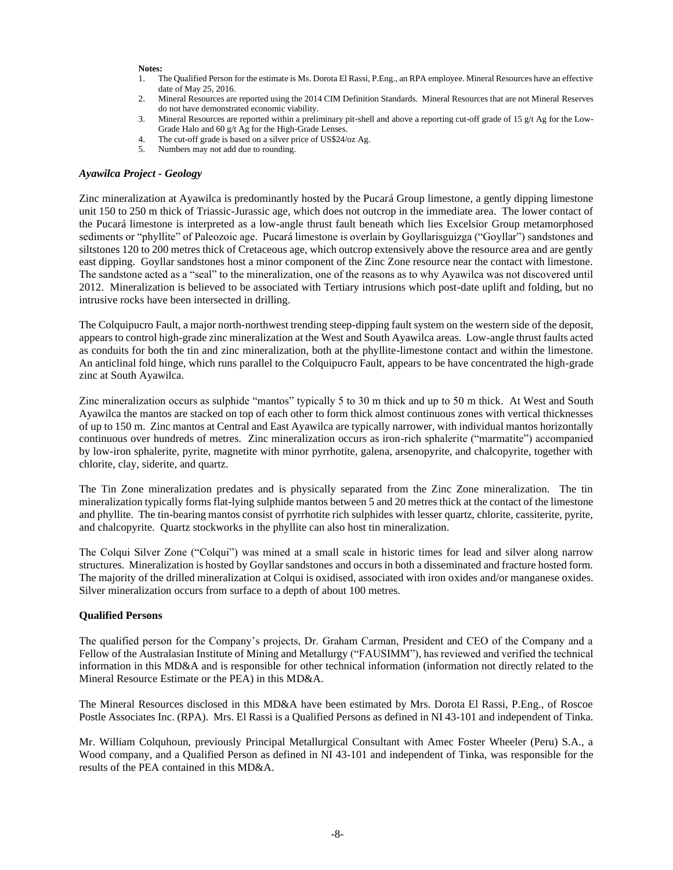#### **Notes:**

- 1. The Qualified Person for the estimate is Ms. Dorota El Rassi, P.Eng., an RPA employee. Mineral Resources have an effective date of May 25, 2016.
- 2. Mineral Resources are reported using the 2014 CIM Definition Standards. Mineral Resources that are not Mineral Reserves do not have demonstrated economic viability.
- 3. Mineral Resources are reported within a preliminary pit-shell and above a reporting cut-off grade of 15  $g/t$  Ag for the Low-Grade Halo and 60 g/t Ag for the High-Grade Lenses.
- 4. The cut-off grade is based on a silver price of US\$24/oz Ag.
- 5. Numbers may not add due to rounding.

#### *Ayawilca Project - Geology*

Zinc mineralization at Ayawilca is predominantly hosted by the Pucará Group limestone, a gently dipping limestone unit 150 to 250 m thick of Triassic-Jurassic age, which does not outcrop in the immediate area. The lower contact of the Pucará limestone is interpreted as a low-angle thrust fault beneath which lies Excelsior Group metamorphosed sediments or "phyllite" of Paleozoic age. Pucará limestone is overlain by Goyllarisguizga ("Goyllar") sandstones and siltstones 120 to 200 metres thick of Cretaceous age, which outcrop extensively above the resource area and are gently east dipping. Goyllar sandstones host a minor component of the Zinc Zone resource near the contact with limestone. The sandstone acted as a "seal" to the mineralization, one of the reasons as to why Ayawilca was not discovered until 2012. Mineralization is believed to be associated with Tertiary intrusions which post-date uplift and folding, but no intrusive rocks have been intersected in drilling.

The Colquipucro Fault, a major north-northwest trending steep-dipping fault system on the western side of the deposit, appears to control high-grade zinc mineralization at the West and South Ayawilca areas. Low-angle thrust faults acted as conduits for both the tin and zinc mineralization, both at the phyllite-limestone contact and within the limestone. An anticlinal fold hinge, which runs parallel to the Colquipucro Fault, appears to be have concentrated the high-grade zinc at South Ayawilca.

Zinc mineralization occurs as sulphide "mantos" typically 5 to 30 m thick and up to 50 m thick. At West and South Ayawilca the mantos are stacked on top of each other to form thick almost continuous zones with vertical thicknesses of up to 150 m. Zinc mantos at Central and East Ayawilca are typically narrower, with individual mantos horizontally continuous over hundreds of metres. Zinc mineralization occurs as iron-rich sphalerite ("marmatite") accompanied by low-iron sphalerite, pyrite, magnetite with minor pyrrhotite, galena, arsenopyrite, and chalcopyrite, together with chlorite, clay, siderite, and quartz.

The Tin Zone mineralization predates and is physically separated from the Zinc Zone mineralization. The tin mineralization typically forms flat-lying sulphide mantos between 5 and 20 metres thick at the contact of the limestone and phyllite. The tin-bearing mantos consist of pyrrhotite rich sulphides with lesser quartz, chlorite, cassiterite, pyrite, and chalcopyrite. Quartz stockworks in the phyllite can also host tin mineralization.

The Colqui Silver Zone ("Colqui") was mined at a small scale in historic times for lead and silver along narrow structures. Mineralization is hosted by Goyllar sandstones and occurs in both a disseminated and fracture hosted form. The majority of the drilled mineralization at Colqui is oxidised, associated with iron oxides and/or manganese oxides. Silver mineralization occurs from surface to a depth of about 100 metres.

## **Qualified Persons**

The qualified person for the Company's projects, Dr. Graham Carman, President and CEO of the Company and a Fellow of the Australasian Institute of Mining and Metallurgy ("FAUSIMM"), has reviewed and verified the technical information in this MD&A and is responsible for other technical information (information not directly related to the Mineral Resource Estimate or the PEA) in this MD&A.

The Mineral Resources disclosed in this MD&A have been estimated by Mrs. Dorota El Rassi, P.Eng., of Roscoe Postle Associates Inc. (RPA). Mrs. El Rassi is a Qualified Persons as defined in NI 43-101 and independent of Tinka.

Mr. William Colquhoun, previously Principal Metallurgical Consultant with Amec Foster Wheeler (Peru) S.A., a Wood company, and a Qualified Person as defined in NI 43-101 and independent of Tinka, was responsible for the results of the PEA contained in this MD&A.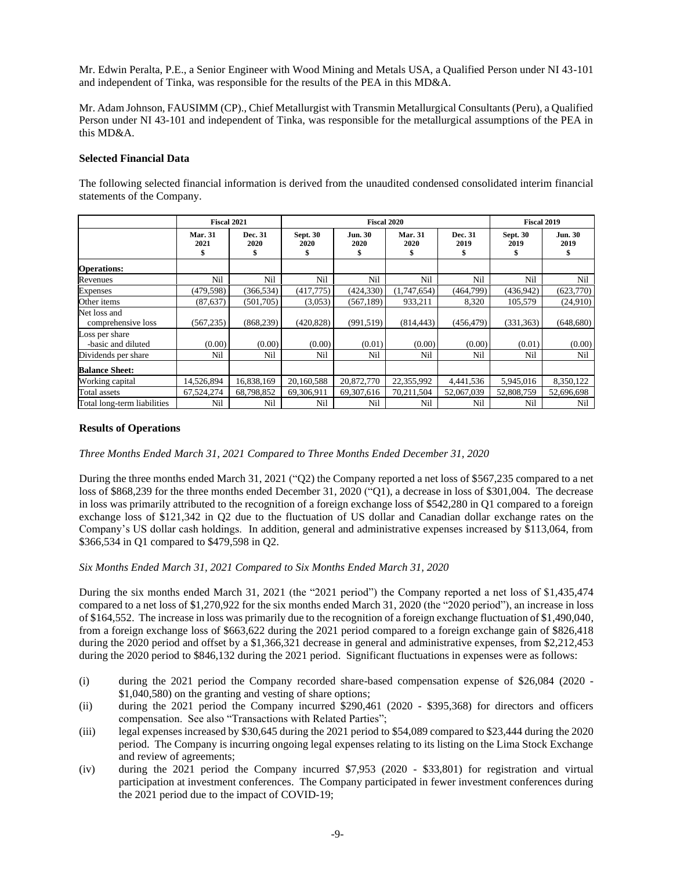Mr. Edwin Peralta, P.E., a Senior Engineer with Wood Mining and Metals USA, a Qualified Person under NI 43-101 and independent of Tinka, was responsible for the results of the PEA in this MD&A.

Mr. Adam Johnson, FAUSIMM (CP)., Chief Metallurgist with Transmin Metallurgical Consultants (Peru), a Qualified Person under NI 43-101 and independent of Tinka, was responsible for the metallurgical assumptions of the PEA in this MD&A.

## **Selected Financial Data**

The following selected financial information is derived from the unaudited condensed consolidated interim financial statements of the Company.

|                                      | <b>Fiscal 2021</b>           |                       |                               | <b>Fiscal 2020</b>     | <b>Fiscal 2019</b>           |                       |                              |                             |
|--------------------------------------|------------------------------|-----------------------|-------------------------------|------------------------|------------------------------|-----------------------|------------------------------|-----------------------------|
|                                      | <b>Mar. 31</b><br>2021<br>\$ | Dec. 31<br>2020<br>\$ | <b>Sept. 30</b><br>2020<br>\$ | <b>Jun. 30</b><br>2020 | <b>Mar. 31</b><br>2020<br>\$ | Dec. 31<br>2019<br>\$ | <b>Sept. 30</b><br>2019<br>S | <b>Jun. 30</b><br>2019<br>S |
| <b>Operations:</b>                   |                              |                       |                               |                        |                              |                       |                              |                             |
| Revenues                             | Nil                          | Nil                   | Nil                           | Nil                    | Nil                          | Nil                   | Nil                          | Nil                         |
| <b>Expenses</b>                      | (479, 598)                   | (366, 534)            | (417, 775)                    | (424, 330)             | (1,747,654)                  | (464,799)             | (436, 942)                   | (623,770)                   |
| Other items                          | (87, 637)                    | (501, 705)            | (3,053)                       | (567, 189)             | 933,211                      | 8,320                 | 105,579                      | (24,910)                    |
| Net loss and<br>comprehensive loss   | (567, 235)                   | (868, 239)            | (420, 828)                    | (991, 519)             | (814, 443)                   | (456, 479)            | (331, 363)                   | (648, 680)                  |
| Loss per share<br>-basic and diluted | (0.00)                       | (0.00)                | (0.00)                        | (0.01)                 | (0.00)                       | (0.00)                | (0.01)                       | (0.00)                      |
| Dividends per share                  | Nil                          | Nil                   | Nil                           | Nil                    | Nil                          | Nil                   | Nil                          | Nil                         |
| <b>Balance Sheet:</b>                |                              |                       |                               |                        |                              |                       |                              |                             |
| Working capital                      | 14,526,894                   | 16,838,169            | 20,160,588                    | 20,872,770             | 22,355,992                   | 4,441,536             | 5,945,016                    | 8,350,122                   |
| Total assets                         | 67,524,274                   | 68,798,852            | 69,306,911                    | 69,307,616             | 70,211,504                   | 52,067,039            | 52,808,759                   | 52,696,698                  |
| Total long-term liabilities          | Nil                          | Nil                   | Nil                           | Nil                    | Nil                          | Nil                   | Nil                          | Nil                         |

## **Results of Operations**

# *Three Months Ended March 31, 2021 Compared to Three Months Ended December 31, 2020*

During the three months ended March 31, 2021 ("Q2) the Company reported a net loss of \$567,235 compared to a net loss of \$868,239 for the three months ended December 31, 2020 ("Q1), a decrease in loss of \$301,004. The decrease in loss was primarily attributed to the recognition of a foreign exchange loss of \$542,280 in Q1 compared to a foreign exchange loss of \$121,342 in Q2 due to the fluctuation of US dollar and Canadian dollar exchange rates on the Company's US dollar cash holdings. In addition, general and administrative expenses increased by \$113,064, from \$366,534 in Q1 compared to \$479,598 in Q2.

# *Six Months Ended March 31, 2021 Compared to Six Months Ended March 31, 2020*

During the six months ended March 31, 2021 (the "2021 period") the Company reported a net loss of \$1,435,474 compared to a net loss of \$1,270,922 for the six months ended March 31, 2020 (the "2020 period"), an increase in loss of \$164,552. The increase in loss was primarily due to the recognition of a foreign exchange fluctuation of \$1,490,040, from a foreign exchange loss of \$663,622 during the 2021 period compared to a foreign exchange gain of \$826,418 during the 2020 period and offset by a \$1,366,321 decrease in general and administrative expenses, from \$2,212,453 during the 2020 period to \$846,132 during the 2021 period. Significant fluctuations in expenses were as follows:

- (i) during the 2021 period the Company recorded share-based compensation expense of \$26,084 (2020 \$1,040,580) on the granting and vesting of share options;
- (ii) during the 2021 period the Company incurred \$290,461 (2020 \$395,368) for directors and officers compensation. See also "Transactions with Related Parties";
- (iii) legal expenses increased by \$30,645 during the 2021 period to \$54,089 compared to \$23,444 during the 2020 period. The Company is incurring ongoing legal expenses relating to its listing on the Lima Stock Exchange and review of agreements;
- (iv) during the 2021 period the Company incurred \$7,953 (2020 \$33,801) for registration and virtual participation at investment conferences. The Company participated in fewer investment conferences during the 2021 period due to the impact of COVID-19;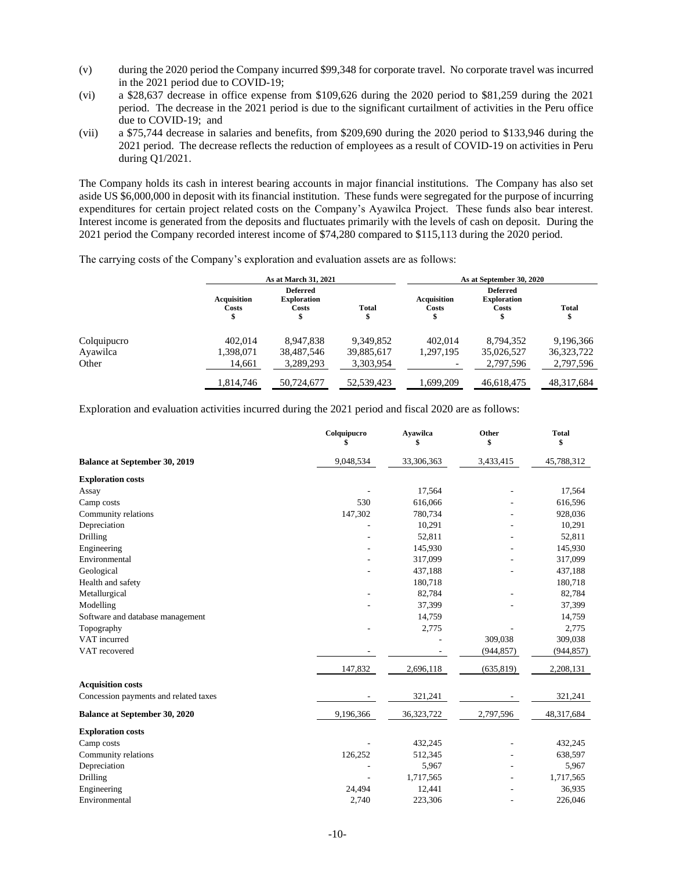- (v) during the 2020 period the Company incurred \$99,348 for corporate travel. No corporate travel was incurred in the 2021 period due to COVID-19;
- (vi) a \$28,637 decrease in office expense from \$109,626 during the 2020 period to \$81,259 during the 2021 period. The decrease in the 2021 period is due to the significant curtailment of activities in the Peru office due to COVID-19; and
- (vii) a \$75,744 decrease in salaries and benefits, from \$209,690 during the 2020 period to \$133,946 during the 2021 period. The decrease reflects the reduction of employees as a result of COVID-19 on activities in Peru during Q1/2021.

The Company holds its cash in interest bearing accounts in major financial institutions. The Company has also set aside US \$6,000,000 in deposit with its financial institution. These funds were segregated for the purpose of incurring expenditures for certain project related costs on the Company's Ayawilca Project. These funds also bear interest. Interest income is generated from the deposits and fluctuates primarily with the levels of cash on deposit. During the 2021 period the Company recorded interest income of \$74,280 compared to \$115,113 during the 2020 period.

The carrying costs of the Company's exploration and evaluation assets are as follows:

|             |                                    | As at March 31, 2021                                 |                   | As at September 30, 2020 |                                                |              |  |
|-------------|------------------------------------|------------------------------------------------------|-------------------|--------------------------|------------------------------------------------|--------------|--|
|             | <b>Acquisition</b><br><b>Costs</b> | <b>Deferred</b><br><b>Exploration</b><br>Costs<br>\$ | <b>Total</b><br>Φ | Acquisition<br>Costs     | <b>Deferred</b><br><b>Exploration</b><br>Costs | Total<br>\$  |  |
| Colquipucro | 402,014                            | 8,947,838                                            | 9.349.852         | 402.014                  | 8.794.352                                      | 9,196,366    |  |
| Ayawilca    | 1,398,071                          | 38,487,546                                           | 39,885,617        | 1.297.195                | 35,026,527                                     | 36, 323, 722 |  |
| Other       | 14,661                             | 3,289,293                                            | 3,303,954         |                          | 2,797,596                                      | 2,797,596    |  |
|             | 1,814,746                          | 50,724,677                                           | 52,539,423        | 1.699.209                | 46,618,475                                     | 48, 317, 684 |  |

Exploration and evaluation activities incurred during the 2021 period and fiscal 2020 are as follows:

|                                       | Colquipucro | <b>Avawilca</b><br>\$ | Other<br>\$ | <b>Total</b><br>\$ |
|---------------------------------------|-------------|-----------------------|-------------|--------------------|
| <b>Balance at September 30, 2019</b>  | 9,048,534   | 33,306,363            | 3,433,415   | 45,788,312         |
| <b>Exploration costs</b>              |             |                       |             |                    |
| Assay                                 |             | 17,564                |             | 17,564             |
| Camp costs                            | 530         | 616,066               |             | 616,596            |
| Community relations                   | 147,302     | 780,734               |             | 928,036            |
| Depreciation                          |             | 10,291                |             | 10,291             |
| Drilling                              |             | 52,811                |             | 52,811             |
| Engineering                           |             | 145,930               |             | 145,930            |
| Environmental                         |             | 317,099               |             | 317,099            |
| Geological                            |             | 437,188               |             | 437,188            |
| Health and safety                     |             | 180,718               |             | 180,718            |
| Metallurgical                         |             | 82,784                |             | 82,784             |
| Modelling                             |             | 37,399                |             | 37,399             |
| Software and database management      |             | 14,759                |             | 14,759             |
| Topography                            |             | 2,775                 |             | 2,775              |
| VAT incurred                          |             |                       | 309,038     | 309,038            |
| VAT recovered                         |             |                       | (944, 857)  | (944, 857)         |
|                                       | 147,832     | 2,696,118             | (635, 819)  | 2,208,131          |
| <b>Acquisition costs</b>              |             |                       |             |                    |
| Concession payments and related taxes |             | 321,241               |             | 321,241            |
| <b>Balance at September 30, 2020</b>  | 9,196,366   | 36,323,722            | 2,797,596   | 48,317,684         |
| <b>Exploration costs</b>              |             |                       |             |                    |
| Camp costs                            |             | 432,245               |             | 432,245            |
| Community relations                   | 126,252     | 512,345               |             | 638,597            |
| Depreciation                          |             | 5,967                 |             | 5,967              |
| Drilling                              |             | 1,717,565             |             | 1,717,565          |
| Engineering                           | 24,494      | 12,441                |             | 36,935             |
| Environmental                         | 2,740       | 223,306               |             | 226,046            |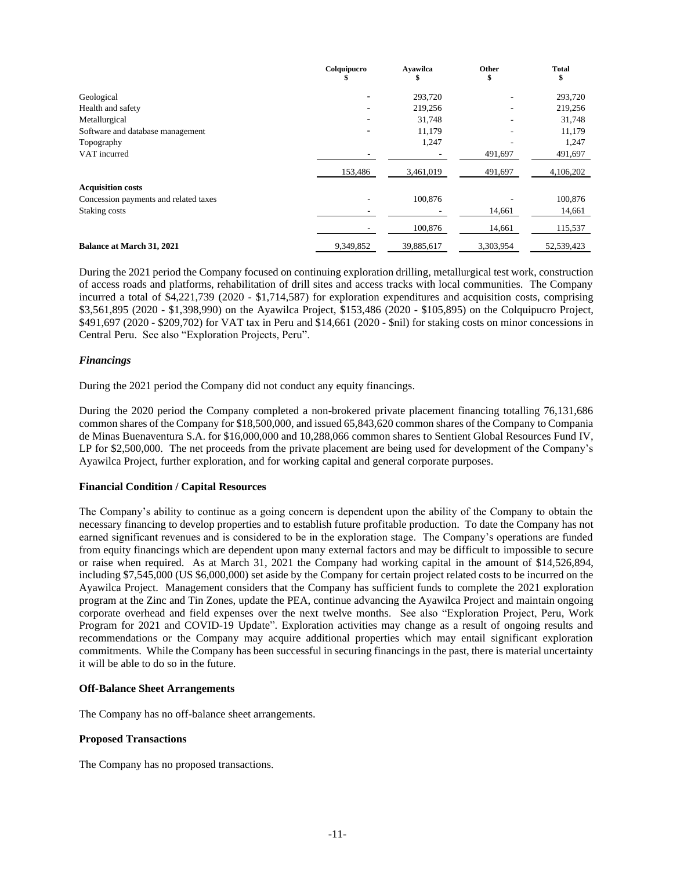|                                       | Colquipucro | Avawilca   | Other     | <b>Total</b><br>э |
|---------------------------------------|-------------|------------|-----------|-------------------|
| Geological                            |             | 293,720    |           | 293,720           |
| Health and safety                     |             | 219,256    |           | 219,256           |
| Metallurgical                         |             | 31,748     |           | 31,748            |
| Software and database management      |             | 11,179     |           | 11,179            |
| Topography                            |             | 1,247      |           | 1,247             |
| VAT incurred                          |             |            | 491,697   | 491,697           |
|                                       | 153,486     | 3,461,019  | 491,697   | 4,106,202         |
| <b>Acquisition costs</b>              |             |            |           |                   |
| Concession payments and related taxes |             | 100,876    |           | 100,876           |
| Staking costs                         |             |            | 14,661    | 14,661            |
|                                       |             | 100.876    | 14,661    | 115,537           |
| <b>Balance at March 31, 2021</b>      | 9,349,852   | 39,885,617 | 3,303,954 | 52,539,423        |

During the 2021 period the Company focused on continuing exploration drilling, metallurgical test work, construction of access roads and platforms, rehabilitation of drill sites and access tracks with local communities. The Company incurred a total of \$4,221,739 (2020 - \$1,714,587) for exploration expenditures and acquisition costs, comprising \$3,561,895 (2020 - \$1,398,990) on the Ayawilca Project, \$153,486 (2020 - \$105,895) on the Colquipucro Project, \$491,697 (2020 - \$209,702) for VAT tax in Peru and \$14,661 (2020 - \$nil) for staking costs on minor concessions in Central Peru. See also "Exploration Projects, Peru".

## *Financings*

During the 2021 period the Company did not conduct any equity financings.

During the 2020 period the Company completed a non-brokered private placement financing totalling 76,131,686 common shares of the Company for \$18,500,000, and issued 65,843,620 common shares of the Company to Compania de Minas Buenaventura S.A. for \$16,000,000 and 10,288,066 common shares to Sentient Global Resources Fund IV, LP for \$2,500,000. The net proceeds from the private placement are being used for development of the Company's Ayawilca Project, further exploration, and for working capital and general corporate purposes.

# **Financial Condition / Capital Resources**

The Company's ability to continue as a going concern is dependent upon the ability of the Company to obtain the necessary financing to develop properties and to establish future profitable production. To date the Company has not earned significant revenues and is considered to be in the exploration stage. The Company's operations are funded from equity financings which are dependent upon many external factors and may be difficult to impossible to secure or raise when required. As at March 31, 2021 the Company had working capital in the amount of \$14,526,894, including \$7,545,000 (US \$6,000,000) set aside by the Company for certain project related costs to be incurred on the Ayawilca Project. Management considers that the Company has sufficient funds to complete the 2021 exploration program at the Zinc and Tin Zones, update the PEA, continue advancing the Ayawilca Project and maintain ongoing corporate overhead and field expenses over the next twelve months. See also "Exploration Project, Peru, Work Program for 2021 and COVID-19 Update". Exploration activities may change as a result of ongoing results and recommendations or the Company may acquire additional properties which may entail significant exploration commitments. While the Company has been successful in securing financings in the past, there is material uncertainty it will be able to do so in the future.

## **Off-Balance Sheet Arrangements**

The Company has no off-balance sheet arrangements.

#### **Proposed Transactions**

The Company has no proposed transactions.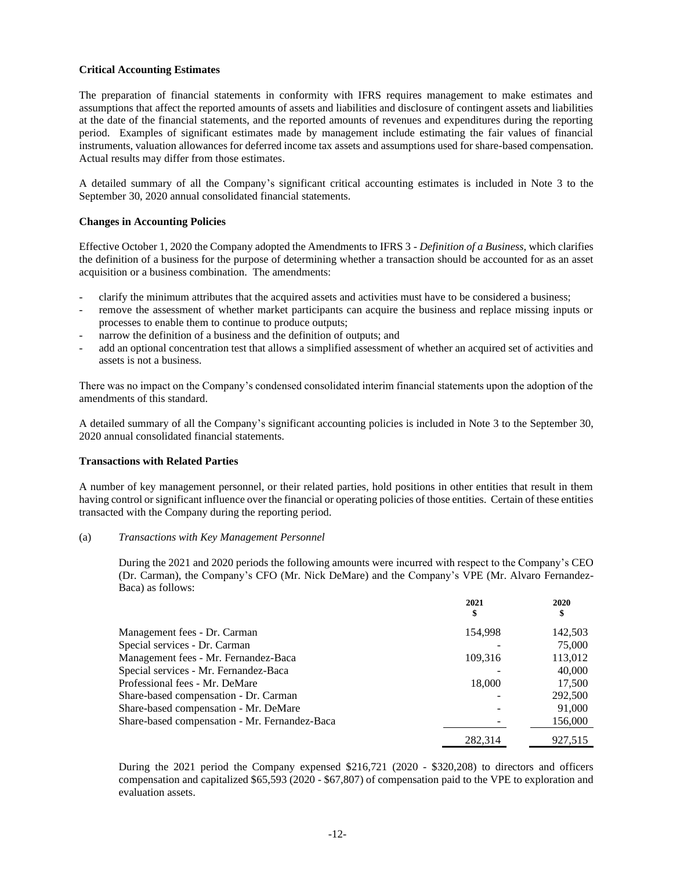## **Critical Accounting Estimates**

The preparation of financial statements in conformity with IFRS requires management to make estimates and assumptions that affect the reported amounts of assets and liabilities and disclosure of contingent assets and liabilities at the date of the financial statements, and the reported amounts of revenues and expenditures during the reporting period. Examples of significant estimates made by management include estimating the fair values of financial instruments, valuation allowances for deferred income tax assets and assumptions used for share-based compensation. Actual results may differ from those estimates.

A detailed summary of all the Company's significant critical accounting estimates is included in Note 3 to the September 30, 2020 annual consolidated financial statements.

#### **Changes in Accounting Policies**

Effective October 1, 2020 the Company adopted the Amendments to IFRS 3 - *Definition of a Business,* which clarifies the definition of a business for the purpose of determining whether a transaction should be accounted for as an asset acquisition or a business combination. The amendments:

- clarify the minimum attributes that the acquired assets and activities must have to be considered a business;
- remove the assessment of whether market participants can acquire the business and replace missing inputs or processes to enable them to continue to produce outputs;
- narrow the definition of a business and the definition of outputs; and
- add an optional concentration test that allows a simplified assessment of whether an acquired set of activities and assets is not a business.

There was no impact on the Company's condensed consolidated interim financial statements upon the adoption of the amendments of this standard.

A detailed summary of all the Company's significant accounting policies is included in Note 3 to the September 30, 2020 annual consolidated financial statements.

# **Transactions with Related Parties**

A number of key management personnel, or their related parties, hold positions in other entities that result in them having control or significant influence over the financial or operating policies of those entities. Certain of these entities transacted with the Company during the reporting period.

#### (a) *Transactions with Key Management Personnel*

During the 2021 and 2020 periods the following amounts were incurred with respect to the Company's CEO (Dr. Carman), the Company's CFO (Mr. Nick DeMare) and the Company's VPE (Mr. Alvaro Fernandez-Baca) as follows:

|                                               | 2021<br>\$ | 2020<br>\$ |
|-----------------------------------------------|------------|------------|
| Management fees - Dr. Carman                  | 154,998    | 142,503    |
| Special services - Dr. Carman                 |            | 75,000     |
| Management fees - Mr. Fernandez-Baca          | 109.316    | 113,012    |
| Special services - Mr. Fernandez-Baca         |            | 40,000     |
| Professional fees - Mr. DeMare                | 18,000     | 17,500     |
| Share-based compensation - Dr. Carman         |            | 292,500    |
| Share-based compensation - Mr. DeMare         |            | 91,000     |
| Share-based compensation - Mr. Fernandez-Baca |            | 156,000    |
|                                               | 282.314    | 927,515    |

During the 2021 period the Company expensed \$216,721 (2020 - \$320,208) to directors and officers compensation and capitalized \$65,593 (2020 - \$67,807) of compensation paid to the VPE to exploration and evaluation assets.